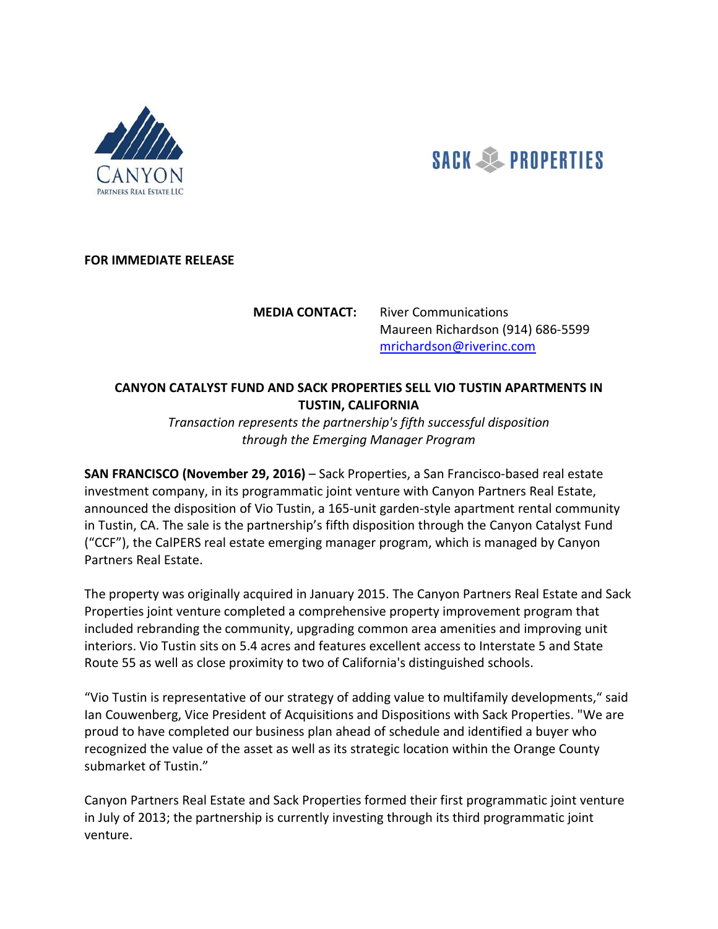



## **FOR IMMEDIATE RELEASE**

**MEDIA CONTACT:** River Communications Maureen Richardson (914) 686-5599 mrichardson@riverinc.com

## **CANYON CATALYST FUND AND SACK PROPERTIES SELL VIO TUSTIN APARTMENTS IN TUSTIN, CALIFORNIA**

*Transaction represents the partnership's fifth successful disposition through the Emerging Manager Program*

**SAN FRANCISCO (November 29, 2016)** – Sack Properties, a San Francisco-based real estate investment company, in its programmatic joint venture with Canyon Partners Real Estate, announced the disposition of Vio Tustin, a 165-unit garden-style apartment rental community in Tustin, CA. The sale is the partnership's fifth disposition through the Canyon Catalyst Fund ("CCF"), the CalPERS real estate emerging manager program, which is managed by Canyon Partners Real Estate.

The property was originally acquired in January 2015. The Canyon Partners Real Estate and Sack Properties joint venture completed a comprehensive property improvement program that included rebranding the community, upgrading common area amenities and improving unit interiors. Vio Tustin sits on 5.4 acres and features excellent access to Interstate 5 and State Route 55 as well as close proximity to two of California's distinguished schools.

"Vio Tustin is representative of our strategy of adding value to multifamily developments," said Ian Couwenberg, Vice President of Acquisitions and Dispositions with Sack Properties. "We are proud to have completed our business plan ahead of schedule and identified a buyer who recognized the value of the asset as well as its strategic location within the Orange County submarket of Tustin."

Canyon Partners Real Estate and Sack Properties formed their first programmatic joint venture in July of 2013; the partnership is currently investing through its third programmatic joint venture.